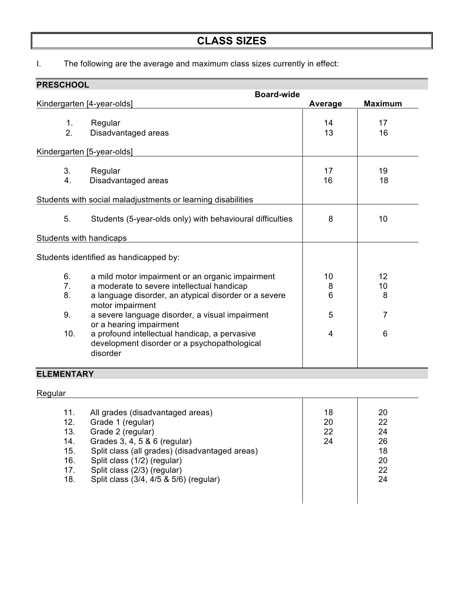# **CLASS SIZES**

I. The following are the average and maximum class sizes currently in effect:

| <b>PRESCHOOL</b>                       |                   |                                                                                                           |          |                |
|----------------------------------------|-------------------|-----------------------------------------------------------------------------------------------------------|----------|----------------|
|                                        | <b>Board-wide</b> |                                                                                                           |          |                |
|                                        |                   | Kindergarten [4-year-olds]                                                                                | Average  | <b>Maximum</b> |
|                                        | 1.<br>2.          | Regular<br>Disadvantaged areas                                                                            | 14<br>13 | 17<br>16       |
| Kindergarten [5-year-olds]             |                   |                                                                                                           |          |                |
|                                        | 3.<br>4.          | Regular<br>Disadvantaged areas                                                                            | 17<br>16 | 19<br>18       |
|                                        |                   | Students with social maladjustments or learning disabilities                                              |          |                |
|                                        | 5.                | Students (5-year-olds only) with behavioural difficulties                                                 | 8        | 10             |
| Students with handicaps                |                   |                                                                                                           |          |                |
| Students identified as handicapped by: |                   |                                                                                                           |          |                |
|                                        | 6.                | a mild motor impairment or an organic impairment                                                          | 10       | 12             |
|                                        | 7 <sub>1</sub>    | a moderate to severe intellectual handicap                                                                | 8        | 10             |
|                                        | 8.                | a language disorder, an atypical disorder or a severe<br>motor impairment                                 | 6        | 8              |
|                                        | 9.                | a severe language disorder, a visual impairment<br>or a hearing impairment                                | 5        | 7              |
|                                        | 10.               | a profound intellectual handicap, a pervasive<br>development disorder or a psychopathological<br>disorder | 4        | 6              |

# **ELEMENTARY**

| Regular |
|---------|
|---------|

| 11.<br>12.<br>13.<br>14.<br>15.<br>16.<br>17.<br>18. | All grades (disadvantaged areas)<br>Grade 1 (regular)<br>Grade 2 (regular)<br>Grades 3, 4, 5 & 6 (regular)<br>Split class (all grades) (disadvantaged areas)<br>Split class (1/2) (regular)<br>Split class (2/3) (regular)<br>Split class (3/4, 4/5 & 5/6) (regular) | 18<br>20<br>22<br>24 | 20<br>22<br>24<br>26<br>18<br>20<br>22<br>24 |  |
|------------------------------------------------------|----------------------------------------------------------------------------------------------------------------------------------------------------------------------------------------------------------------------------------------------------------------------|----------------------|----------------------------------------------|--|
|                                                      |                                                                                                                                                                                                                                                                      |                      |                                              |  |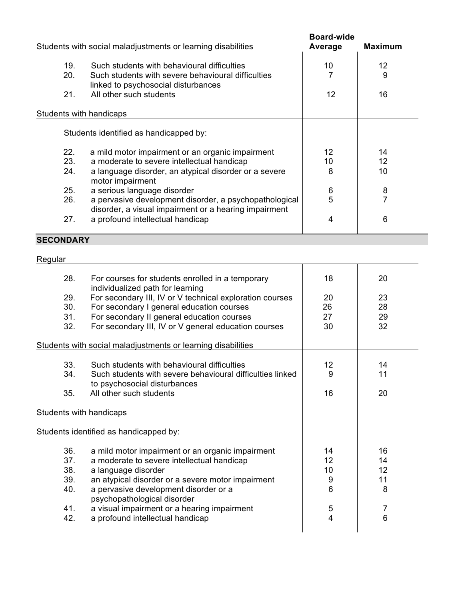|                                                              |                                                               | <b>Board-wide</b> |                |
|--------------------------------------------------------------|---------------------------------------------------------------|-------------------|----------------|
| Students with social maladjustments or learning disabilities |                                                               | Average           | <b>Maximum</b> |
|                                                              |                                                               |                   |                |
|                                                              | 19.<br>Such students with behavioural difficulties            | 10                | 12             |
|                                                              | 20.<br>Such students with severe behavioural difficulties     |                   | 9              |
|                                                              | linked to psychosocial disturbances                           |                   |                |
|                                                              | All other such students<br>21.                                | 12                | 16             |
|                                                              |                                                               |                   |                |
|                                                              | Students with handicaps                                       |                   |                |
|                                                              |                                                               |                   |                |
| Students identified as handicapped by:                       |                                                               |                   |                |
|                                                              |                                                               |                   |                |
|                                                              | a mild motor impairment or an organic impairment<br>22.       | 12                | 14             |
|                                                              | 23.<br>a moderate to severe intellectual handicap             | 10                | 12             |
|                                                              | 24.<br>a language disorder, an atypical disorder or a severe  | 8                 | 10             |
|                                                              | motor impairment                                              |                   |                |
|                                                              | 25.<br>a serious language disorder                            | 6                 | 8              |
|                                                              | 26.<br>a pervasive development disorder, a psychopathological | 5                 | $\overline{7}$ |
|                                                              | disorder, a visual impairment or a hearing impairment         |                   |                |
|                                                              | a profound intellectual handicap<br>27.                       | 4                 | 6              |
|                                                              |                                                               |                   |                |
| 0 FAALID LDV                                                 |                                                               |                   |                |

### **SECONDARY**

### Regular **Regular Regular**

| 28.<br>29.<br>30.<br>31.<br>32.               | For courses for students enrolled in a temporary<br>individualized path for learning<br>For secondary III, IV or V technical exploration courses<br>For secondary I general education courses<br>For secondary II general education courses<br>For secondary III, IV or V general education courses                                   | 18<br>20<br>26<br>27<br>30                      | 20<br>23<br>28<br>29<br>32          |  |
|-----------------------------------------------|---------------------------------------------------------------------------------------------------------------------------------------------------------------------------------------------------------------------------------------------------------------------------------------------------------------------------------------|-------------------------------------------------|-------------------------------------|--|
|                                               |                                                                                                                                                                                                                                                                                                                                       |                                                 |                                     |  |
|                                               | Students with social maladjustments or learning disabilities                                                                                                                                                                                                                                                                          |                                                 |                                     |  |
| 33.<br>34.                                    | Such students with behavioural difficulties<br>Such students with severe behavioural difficulties linked<br>to psychosocial disturbances                                                                                                                                                                                              | 12<br>9                                         | 14<br>11                            |  |
| 35.                                           | All other such students                                                                                                                                                                                                                                                                                                               | 16                                              | 20                                  |  |
| Students with handicaps                       |                                                                                                                                                                                                                                                                                                                                       |                                                 |                                     |  |
| Students identified as handicapped by:        |                                                                                                                                                                                                                                                                                                                                       |                                                 |                                     |  |
| 36.<br>37.<br>38.<br>39.<br>40.<br>41.<br>42. | a mild motor impairment or an organic impairment<br>a moderate to severe intellectual handicap<br>a language disorder<br>an atypical disorder or a severe motor impairment<br>a pervasive development disorder or a<br>psychopathological disorder<br>a visual impairment or a hearing impairment<br>a profound intellectual handicap | 14<br>12<br>10<br>9<br>6<br>5<br>$\overline{4}$ | 16<br>14<br>12<br>11<br>8<br>7<br>6 |  |